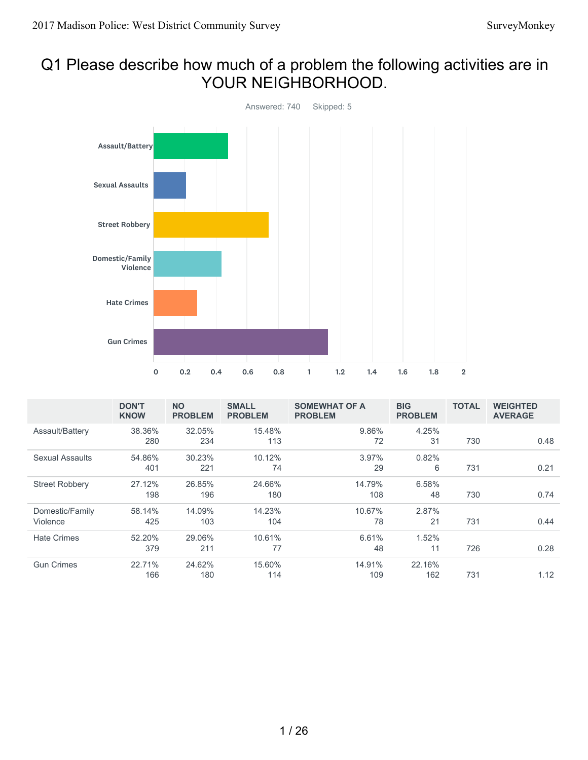## Q1 Please describe how much of a problem the following activities are in YOUR NEIGHBORHOOD.



|                       | <b>DON'T</b><br><b>KNOW</b> | <b>NO</b><br><b>PROBLEM</b> | <b>SMALL</b><br><b>PROBLEM</b> | <b>SOMEWHAT OF A</b><br><b>PROBLEM</b> | <b>BIG</b><br><b>PROBLEM</b> | <b>TOTAL</b> | <b>WEIGHTED</b><br><b>AVERAGE</b> |
|-----------------------|-----------------------------|-----------------------------|--------------------------------|----------------------------------------|------------------------------|--------------|-----------------------------------|
| Assault/Battery       | 38.36%                      | 32.05%                      | 15.48%                         | 9.86%                                  | 4.25%                        |              |                                   |
|                       | 280                         | 234                         | 113                            | 72                                     | 31                           | 730          | 0.48                              |
| Sexual Assaults       | 54.86%                      | 30.23%                      | 10.12%                         | 3.97%                                  | 0.82%                        |              |                                   |
|                       | 401                         | 221                         | 74                             | 29                                     | 6                            | 731          | 0.21                              |
| <b>Street Robbery</b> | 27.12%                      | 26.85%                      | 24.66%                         | 14.79%                                 | 6.58%                        |              |                                   |
|                       | 198                         | 196                         | 180                            | 108                                    | 48                           | 730          | 0.74                              |
| Domestic/Family       | 58.14%                      | 14.09%                      | 14.23%                         | 10.67%                                 | 2.87%                        |              |                                   |
| Violence              | 425                         | 103                         | 104                            | 78                                     | 21                           | 731          | 0.44                              |
| <b>Hate Crimes</b>    | 52.20%                      | 29.06%                      | 10.61%                         | 6.61%                                  | 1.52%                        |              |                                   |
|                       | 379                         | 211                         | 77                             | 48                                     | 11                           | 726          | 0.28                              |
| <b>Gun Crimes</b>     | 22.71%                      | 24.62%                      | 15.60%                         | 14.91%                                 | 22.16%                       |              |                                   |
|                       | 166                         | 180                         | 114                            | 109                                    | 162                          | 731          | 1.12                              |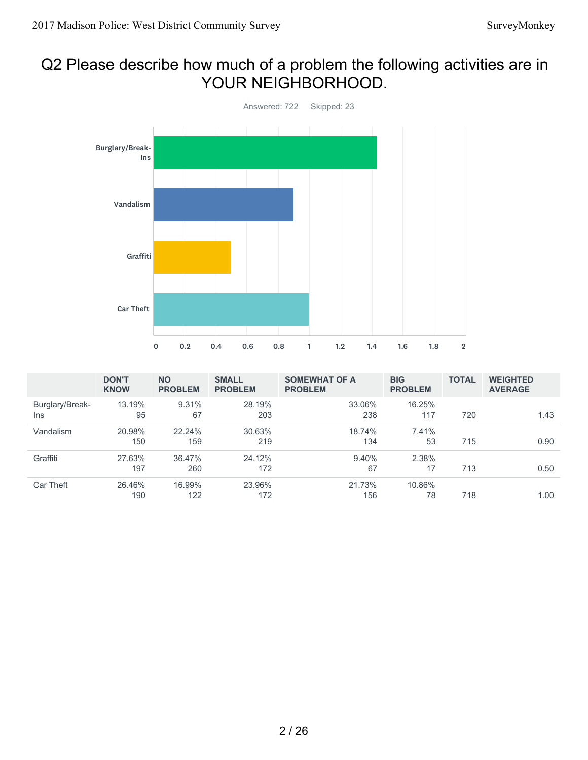# Q2 Please describe how much of a problem the following activities are in YOUR NEIGHBORHOOD.



|                        | <b>DON'T</b><br><b>KNOW</b> | <b>NO</b><br><b>PROBLEM</b> | <b>SMALL</b><br><b>PROBLEM</b> | <b>SOMEWHAT OF A</b><br><b>PROBLEM</b> | <b>BIG</b><br><b>PROBLEM</b> | <b>TOTAL</b> | <b>WEIGHTED</b><br><b>AVERAGE</b> |
|------------------------|-----------------------------|-----------------------------|--------------------------------|----------------------------------------|------------------------------|--------------|-----------------------------------|
| Burglary/Break-<br>Ins | 13.19%<br>95                | 9.31%<br>67                 | 28.19%<br>203                  | 33.06%<br>238                          | 16.25%<br>117                | 720          | 1.43                              |
| Vandalism              | 20.98%<br>150               | 22.24%<br>159               | 30.63%<br>219                  | 18.74%<br>134                          | 7.41%<br>53                  | 715          | 0.90                              |
| Graffiti               | 27.63%<br>197               | 36.47%<br>260               | 24.12%<br>172                  | 9.40%<br>67                            | 2.38%<br>17                  | 713          | 0.50                              |
| Car Theft              | 26.46%<br>190               | 16.99%<br>122               | 23.96%<br>172                  | 21.73%<br>156                          | 10.86%<br>78                 | 718          | 1.00                              |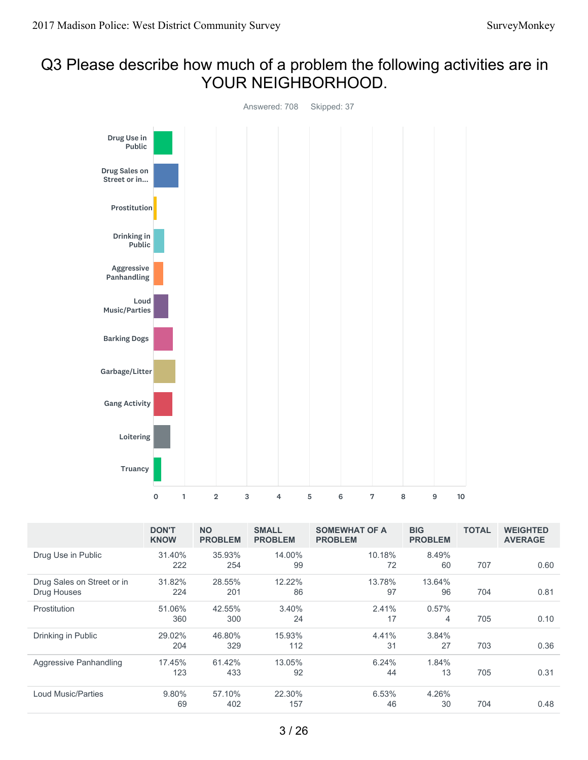#### Q3 Please describe how much of a problem the following activities are in YOUR NEIGHBORHOOD.



|                                           | <b>DON'T</b><br><b>KNOW</b> | <b>NO</b><br><b>PROBLEM</b> | <b>SMALL</b><br><b>PROBLEM</b> | <b>SOMEWHAT OF A</b><br><b>PROBLEM</b> | <b>BIG</b><br><b>PROBLEM</b> | <b>TOTAL</b> | <b>WEIGHTED</b><br><b>AVERAGE</b> |
|-------------------------------------------|-----------------------------|-----------------------------|--------------------------------|----------------------------------------|------------------------------|--------------|-----------------------------------|
| Drug Use in Public                        | 31.40%<br>222               | 35.93%<br>254               | 14.00%<br>99                   | 10.18%<br>72                           | 8.49%<br>60                  | 707          | 0.60                              |
| Drug Sales on Street or in<br>Drug Houses | 31.82%<br>224               | 28.55%<br>201               | 12.22%<br>86                   | 13.78%<br>97                           | 13.64%<br>96                 | 704          | 0.81                              |
| Prostitution                              | 51.06%<br>360               | 42.55%<br>300               | 3.40%<br>24                    | 2.41%<br>17                            | 0.57%<br>4                   | 705          | 0.10                              |
| Drinking in Public                        | 29.02%<br>204               | 46.80%<br>329               | 15.93%<br>112                  | 4.41%<br>31                            | 3.84%<br>27                  | 703          | 0.36                              |
| Aggressive Panhandling                    | 17.45%<br>123               | 61.42%<br>433               | 13.05%<br>92                   | 6.24%<br>44                            | 1.84%<br>13                  | 705          | 0.31                              |
| <b>Loud Music/Parties</b>                 | 9.80%<br>69                 | 57.10%<br>402               | 22.30%<br>157                  | 6.53%<br>46                            | 4.26%<br>30                  | 704          | 0.48                              |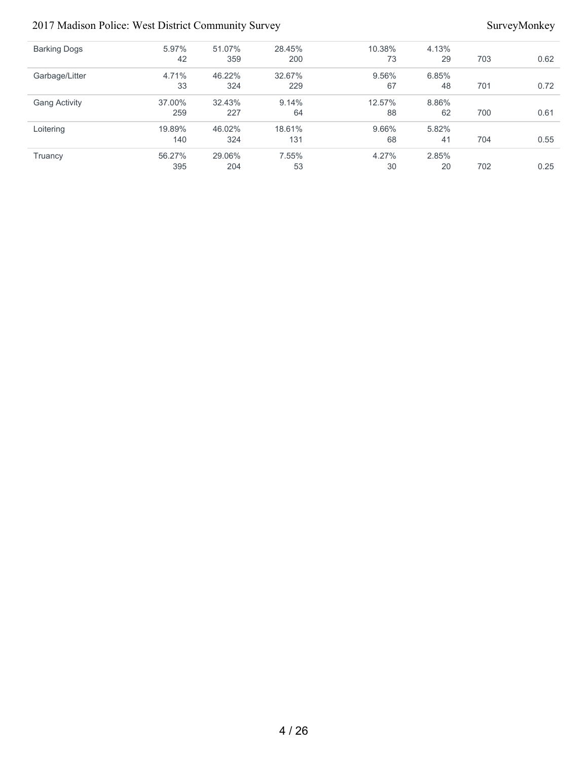#### 2017 Madison Police: West District Community Survey Survey Survey Survey Survey Survey Survey Survey Survey Survey Survey Survey Survey Survey Survey Survey Survey Survey Survey Survey Survey Survey Survey Survey Survey Su

| <b>Barking Dogs</b>  | 5.97%<br>42 | 51.07%<br>359 | 28.45%<br>200 | 10.38%<br>73 | 4.13%<br>29 | 703 | 0.62 |
|----------------------|-------------|---------------|---------------|--------------|-------------|-----|------|
| Garbage/Litter       | 4.71%<br>33 | 46.22%<br>324 | 32.67%<br>229 | 9.56%<br>67  | 6.85%<br>48 | 701 | 0.72 |
| <b>Gang Activity</b> | 37.00%      | 32.43%        | 9.14%         | 12.57%       | 8.86%       |     |      |
|                      | 259         | 227           | 64            | 88           | 62          | 700 | 0.61 |
| Loitering            | 19.89%      | 46.02%        | 18.61%        | 9.66%        | 5.82%       |     |      |
|                      | 140         | 324           | 131           | 68           | 41          | 704 | 0.55 |
| Truancy              | 56.27%      | 29.06%        | 7.55%         | 4.27%        | 2.85%       |     |      |
|                      | 395         | 204           | 53            | 30           | 20          | 702 | 0.25 |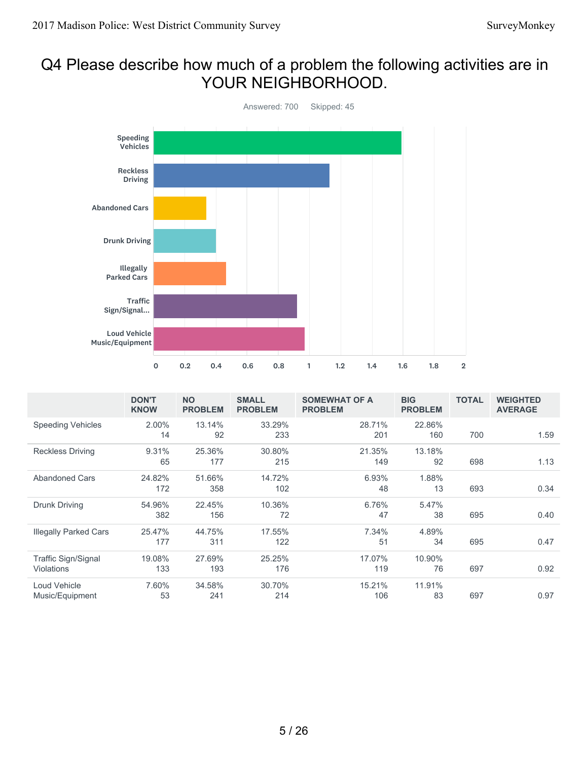## Q4 Please describe how much of a problem the following activities are in YOUR NEIGHBORHOOD.



|                              | <b>DON'T</b><br><b>KNOW</b> | <b>NO</b><br><b>PROBLEM</b> | <b>SMALL</b><br><b>PROBLEM</b> | <b>SOMEWHAT OF A</b><br><b>PROBLEM</b> | <b>BIG</b><br><b>PROBLEM</b> | <b>TOTAL</b> | <b>WEIGHTED</b><br><b>AVERAGE</b> |
|------------------------------|-----------------------------|-----------------------------|--------------------------------|----------------------------------------|------------------------------|--------------|-----------------------------------|
| <b>Speeding Vehicles</b>     | 2.00%                       | 13.14%                      | 33.29%                         | 28.71%                                 | 22.86%                       |              |                                   |
|                              | 14                          | 92                          | 233                            | 201                                    | 160                          | 700          | 1.59                              |
| <b>Reckless Driving</b>      | 9.31%                       | 25.36%                      | 30.80%                         | 21.35%                                 | 13.18%                       |              |                                   |
|                              | 65                          | 177                         | 215                            | 149                                    | 92                           | 698          | 1.13                              |
| <b>Abandoned Cars</b>        | 24.82%                      | 51.66%                      | 14.72%                         | 6.93%                                  | 1.88%                        |              |                                   |
|                              | 172                         | 358                         | 102                            | 48                                     | 13                           | 693          | 0.34                              |
| Drunk Driving                | 54.96%                      | 22.45%                      | 10.36%                         | 6.76%                                  | 5.47%                        |              |                                   |
|                              | 382                         | 156                         | 72                             | 47                                     | 38                           | 695          | 0.40                              |
| <b>Illegally Parked Cars</b> | 25.47%                      | 44.75%                      | 17.55%                         | 7.34%                                  | 4.89%                        |              |                                   |
|                              | 177                         | 311                         | 122                            | 51                                     | 34                           | 695          | 0.47                              |
| Traffic Sign/Signal          | 19.08%                      | 27.69%                      | 25.25%                         | 17.07%                                 | 10.90%                       |              |                                   |
| Violations                   | 133                         | 193                         | 176                            | 119                                    | 76                           | 697          | 0.92                              |
| Loud Vehicle                 | 7.60%                       | 34.58%                      | 30.70%                         | 15.21%                                 | 11.91%                       |              |                                   |
| Music/Equipment              | 53                          | 241                         | 214                            | 106                                    | 83                           | 697          | 0.97                              |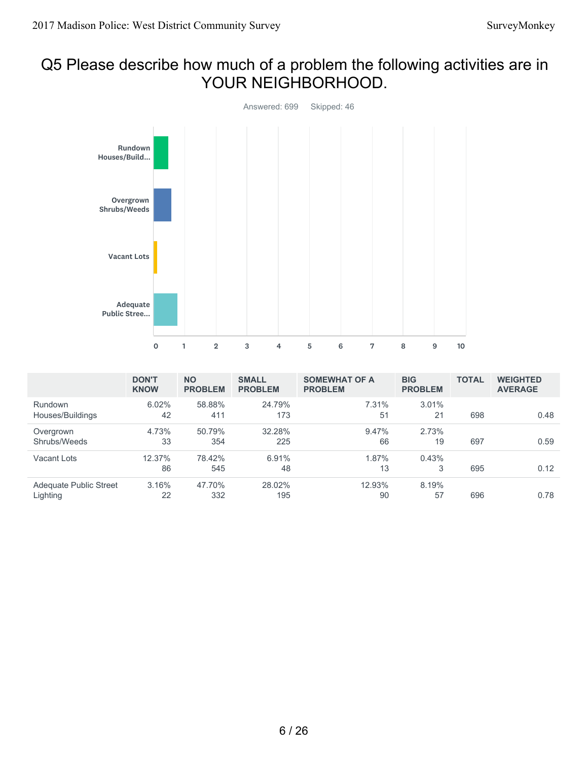## Q5 Please describe how much of a problem the following activities are in YOUR NEIGHBORHOOD.



|                                    | <b>DON'T</b><br><b>KNOW</b> | <b>NO</b><br><b>PROBLEM</b> | <b>SMALL</b><br><b>PROBLEM</b> | <b>SOMEWHAT OF A</b><br><b>PROBLEM</b> | <b>BIG</b><br><b>PROBLEM</b> | <b>TOTAL</b> | <b>WEIGHTED</b><br><b>AVERAGE</b> |
|------------------------------------|-----------------------------|-----------------------------|--------------------------------|----------------------------------------|------------------------------|--------------|-----------------------------------|
| <b>Rundown</b><br>Houses/Buildings | 6.02%<br>42                 | 58.88%<br>411               | 24.79%<br>173                  | 7.31%<br>51                            | 3.01%<br>21                  | 698          | 0.48                              |
| Overgrown<br>Shrubs/Weeds          | 4.73%<br>33                 | 50.79%<br>354               | 32.28%<br>225                  | 9.47%<br>66                            | 2.73%<br>19                  | 697          | 0.59                              |
| Vacant Lots                        | 12.37%<br>86                | 78.42%<br>545               | 6.91%<br>48                    | 1.87%<br>13                            | 0.43%<br>3                   | 695          | 0.12                              |
| Adequate Public Street<br>Lighting | 3.16%<br>22                 | 47.70%<br>332               | 28.02%<br>195                  | 12.93%<br>90                           | 8.19%<br>57                  | 696          | 0.78                              |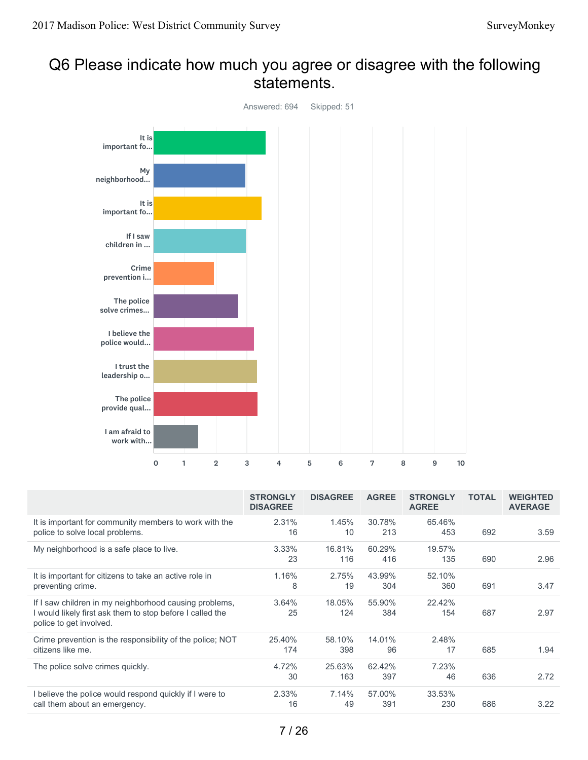## Q6 Please indicate how much you agree or disagree with the following statements.



|                                                                                                                                                | <b>STRONGLY</b><br><b>DISAGREE</b> | <b>DISAGREE</b> | <b>AGREE</b>  | <b>STRONGLY</b><br><b>AGREE</b> | <b>TOTAL</b> | <b>WEIGHTED</b><br><b>AVERAGE</b> |
|------------------------------------------------------------------------------------------------------------------------------------------------|------------------------------------|-----------------|---------------|---------------------------------|--------------|-----------------------------------|
| It is important for community members to work with the<br>police to solve local problems.                                                      | 2.31%<br>16                        | 1.45%<br>10     | 30.78%<br>213 | 65.46%<br>453                   | 692          | 3.59                              |
| My neighborhood is a safe place to live.                                                                                                       | 3.33%<br>23                        | 16.81%<br>116   | 60.29%<br>416 | 19.57%<br>135                   | 690          | 2.96                              |
| It is important for citizens to take an active role in<br>preventing crime.                                                                    | 1.16%<br>8                         | 2.75%<br>19     | 43.99%<br>304 | 52.10%<br>360                   | 691          | 3.47                              |
| If I saw children in my neighborhood causing problems,<br>I would likely first ask them to stop before I called the<br>police to get involved. | 3.64%<br>25                        | 18.05%<br>124   | 55.90%<br>384 | 22.42%<br>154                   | 687          | 2.97                              |
| Crime prevention is the responsibility of the police; NOT<br>citizens like me.                                                                 | 25.40%<br>174                      | 58.10%<br>398   | 14.01%<br>96  | 2.48%<br>17                     | 685          | 1.94                              |
| The police solve crimes quickly.                                                                                                               | 4.72%<br>30                        | 25.63%<br>163   | 62.42%<br>397 | 7.23%<br>46                     | 636          | 2.72                              |
| I believe the police would respond quickly if I were to<br>call them about an emergency.                                                       | 2.33%<br>16                        | 7.14%<br>49     | 57.00%<br>391 | 33.53%<br>230                   | 686          | 3.22                              |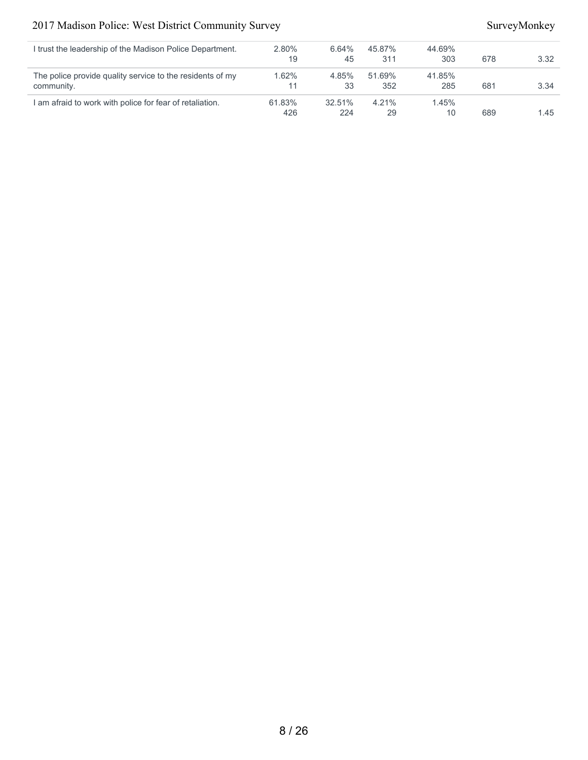#### 2017 Madison Police: West District Community Survey SurveyMonkey

| trust the leadership of the Madison Police Department.    | 2.80%  | 6.64%  | 45.87% | 44.69% |     |      |
|-----------------------------------------------------------|--------|--------|--------|--------|-----|------|
|                                                           | 19     | 45     | 311    | 303    | 678 | 3.32 |
| The police provide quality service to the residents of my | 1.62%  | 4.85%  | 51.69% | 41.85% |     |      |
| community.                                                | 11     | 33     | 352    | 285    | 681 | 3.34 |
| am afraid to work with police for fear of retaliation.    | 61.83% | 32.51% | 4.21%  | 1.45%  |     |      |
|                                                           | 426    | 224    | 29     | 10     | 689 | 1.45 |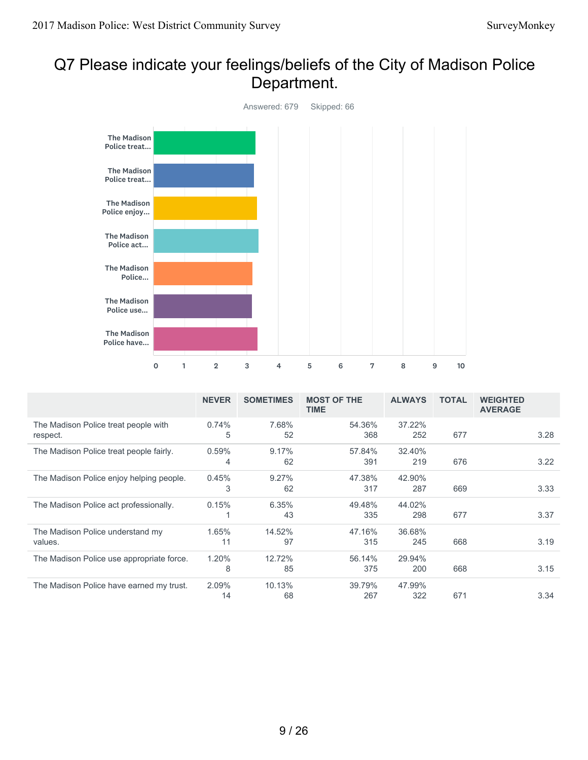# Q7 Please indicate your feelings/beliefs of the City of Madison Police Department.



|                                                  | <b>NEVER</b> | <b>SOMETIMES</b> | <b>MOST OF THE</b><br><b>TIME</b> | <b>ALWAYS</b> | <b>TOTAL</b> | <b>WEIGHTED</b><br><b>AVERAGE</b> |
|--------------------------------------------------|--------------|------------------|-----------------------------------|---------------|--------------|-----------------------------------|
| The Madison Police treat people with<br>respect. | 0.74%<br>5   | 7.68%<br>52      | 54.36%<br>368                     | 37.22%<br>252 | 677          | 3.28                              |
| The Madison Police treat people fairly.          | 0.59%<br>4   | 9.17%<br>62      | 57.84%<br>391                     | 32.40%<br>219 | 676          | 3.22                              |
| The Madison Police enjoy helping people.         | 0.45%<br>3   | 9.27%<br>62      | 47.38%<br>317                     | 42.90%<br>287 | 669          | 3.33                              |
| The Madison Police act professionally.           | 0.15%        | 6.35%<br>43      | 49.48%<br>335                     | 44.02%<br>298 | 677          | 3.37                              |
| The Madison Police understand my<br>values.      | 1.65%<br>11  | 14.52%<br>97     | 47.16%<br>315                     | 36.68%<br>245 | 668          | 3.19                              |
| The Madison Police use appropriate force.        | 1.20%<br>8   | 12.72%<br>85     | 56.14%<br>375                     | 29.94%<br>200 | 668          | 3.15                              |
| The Madison Police have earned my trust.         | 2.09%<br>14  | 10.13%<br>68     | 39.79%<br>267                     | 47.99%<br>322 | 671          | 3.34                              |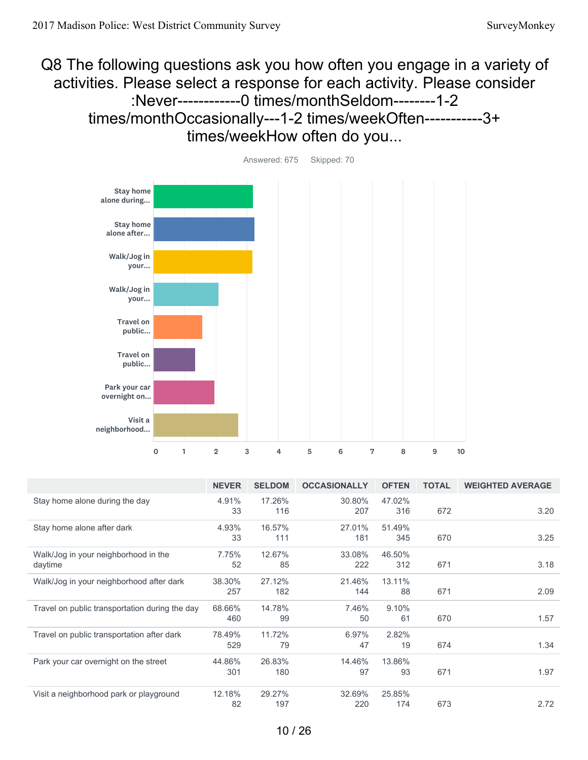Q8 The following questions ask you how often you engage in a variety of activities. Please select a response for each activity. Please consider :Never------------0 times/monthSeldom--------1-2 times/monthOccasionally---1-2 times/weekOften-----------3+ times/weekHow often do you...



|                                                | <b>NEVER</b> | <b>SELDOM</b> | <b>OCCASIONALLY</b> | <b>OFTEN</b> | <b>TOTAL</b> | <b>WEIGHTED AVERAGE</b> |
|------------------------------------------------|--------------|---------------|---------------------|--------------|--------------|-------------------------|
| Stay home alone during the day                 | 4.91%        | 17.26%        | 30.80%              | 47.02%       |              |                         |
|                                                | 33           | 116           | 207                 | 316          | 672          | 3.20                    |
| Stay home alone after dark                     | 4.93%        | 16.57%        | 27.01%              | 51.49%       |              |                         |
|                                                | 33           | 111           | 181                 | 345          | 670          | 3.25                    |
| Walk/Jog in your neighborhood in the           | 7.75%        | 12.67%        | 33.08%              | 46.50%       |              |                         |
| daytime                                        | 52           | 85            | 222                 | 312          | 671          | 3.18                    |
| Walk/Jog in your neighborhood after dark       | 38.30%       | 27.12%        | 21.46%              | 13.11%       |              |                         |
|                                                | 257          | 182           | 144                 | 88           | 671          | 2.09                    |
| Travel on public transportation during the day | 68.66%       | 14.78%        | 7.46%               | 9.10%        |              |                         |
|                                                | 460          | 99            | 50                  | 61           | 670          | 1.57                    |
| Travel on public transportation after dark     | 78.49%       | 11.72%        | 6.97%               | 2.82%        |              |                         |
|                                                | 529          | 79            | 47                  | 19           | 674          | 1.34                    |
| Park your car overnight on the street          | 44.86%       | 26.83%        | 14.46%              | 13.86%       |              |                         |
|                                                | 301          | 180           | 97                  | 93           | 671          | 1.97                    |
| Visit a neighborhood park or playground        | 12.18%       | 29.27%        | 32.69%              | 25.85%       |              |                         |
|                                                | 82           | 197           | 220                 | 174          | 673          | 2.72                    |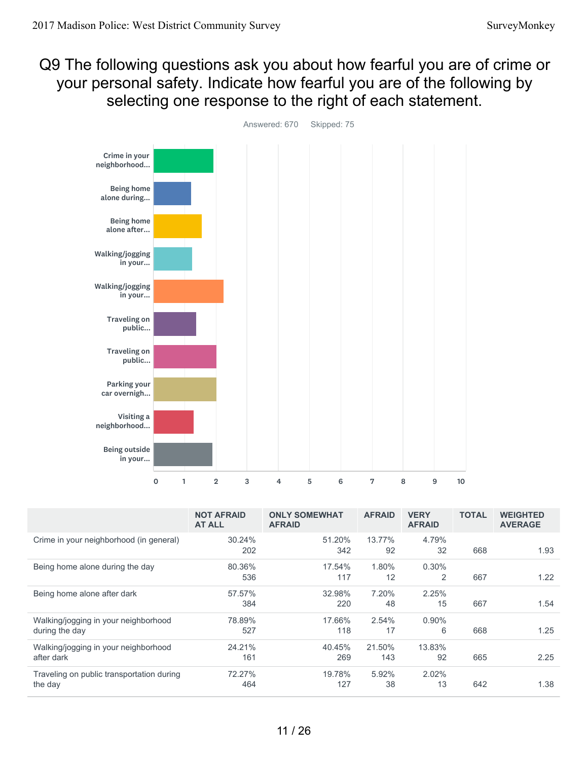Q9 The following questions ask you about how fearful you are of crime or your personal safety. Indicate how fearful you are of the following by selecting one response to the right of each statement.



30.24% 202 51.20% 342 13.77% 92 4.79% 32 668 1.93 80.36% 536 17.54% 117 1.80% 12 0.30% 2 667 1.22 57.57% 384 32.98% 220 7.20% 48 2.25% 15 667 1.54 78.89% 527 17.66% 118 2.54% 17 0.90% 6 668 1.25 24.21% 161 40.45% 269 21.50% 143 13.83% 92 665 2.25 72.27% 464 19.78% 127 5.92% 38 2.02% 13 642 1.38 **NOT AFRAID AT ALL ONLY SOMEWHAT AFRAID AFRAID VERY AFRAID TOTAL WEIGHTED AVERAGE** Crime in your neighborhood (in general) Being home alone during the day Being home alone after dark Walking/jogging in your neighborhood during the day Walking/jogging in your neighborhood after dark Traveling on public transportation during the day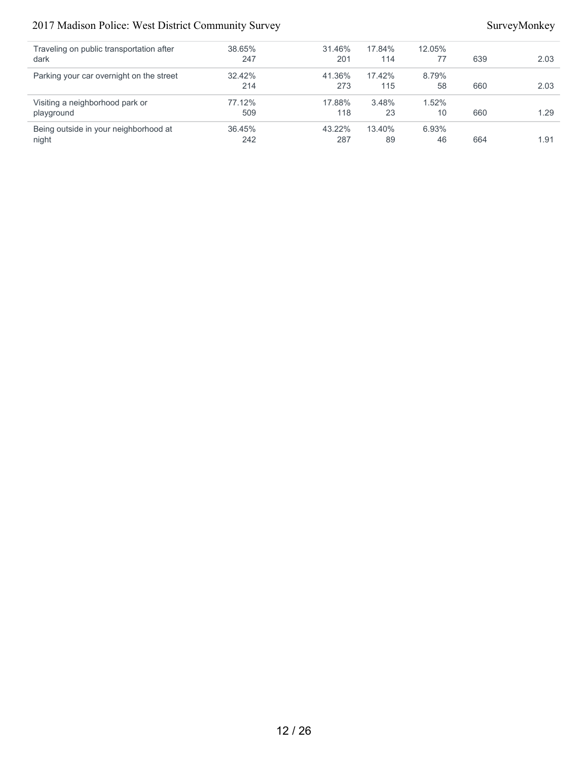#### 2017 Madison Police: West District Community Survey SurveyMonkey

| 38.65%<br>31.46%<br>17.84%<br>12.05%<br>Traveling on public transportation after<br>dark<br>247<br>639<br>201<br>77<br>114<br>41.36%<br>32.42%<br>17.42%<br>8.79%<br>Parking your car overnight on the street<br>273<br>214<br>115<br>58<br>660<br>77.12%<br>17.88%<br>3.48%<br>1.52%<br>Visiting a neighborhood park or<br>118<br>23<br>10<br>509<br>660<br>playground<br>43.22%<br>36.45%<br>6.93%<br>Being outside in your neighborhood at<br>13.40%<br>night<br>287<br>242<br>89<br>46<br>664 |  |  |  |      |
|---------------------------------------------------------------------------------------------------------------------------------------------------------------------------------------------------------------------------------------------------------------------------------------------------------------------------------------------------------------------------------------------------------------------------------------------------------------------------------------------------|--|--|--|------|
|                                                                                                                                                                                                                                                                                                                                                                                                                                                                                                   |  |  |  |      |
|                                                                                                                                                                                                                                                                                                                                                                                                                                                                                                   |  |  |  | 2.03 |
|                                                                                                                                                                                                                                                                                                                                                                                                                                                                                                   |  |  |  |      |
|                                                                                                                                                                                                                                                                                                                                                                                                                                                                                                   |  |  |  | 2.03 |
|                                                                                                                                                                                                                                                                                                                                                                                                                                                                                                   |  |  |  |      |
|                                                                                                                                                                                                                                                                                                                                                                                                                                                                                                   |  |  |  | 1.29 |
|                                                                                                                                                                                                                                                                                                                                                                                                                                                                                                   |  |  |  |      |
|                                                                                                                                                                                                                                                                                                                                                                                                                                                                                                   |  |  |  | 1.91 |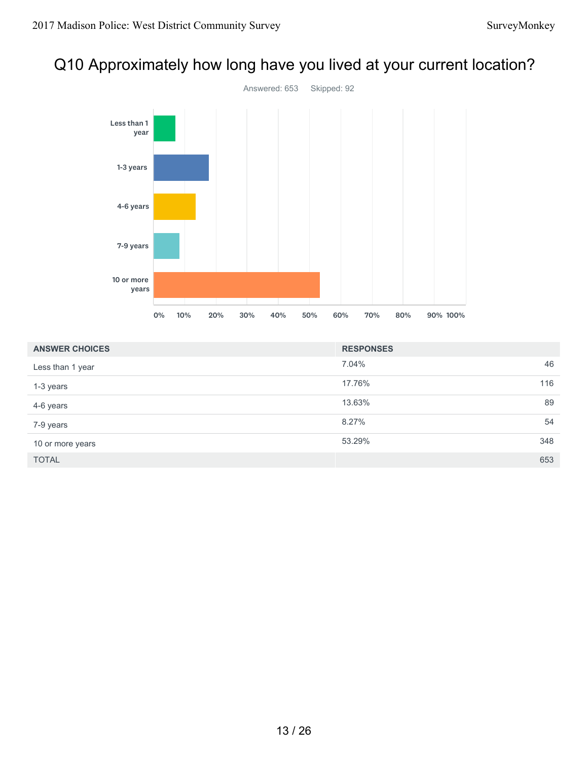# Q10 Approximately how long have you lived at your current location?



| <b>ANSWER CHOICES</b> | <b>RESPONSES</b> |     |
|-----------------------|------------------|-----|
| Less than 1 year      | 7.04%            | 46  |
| 1-3 years             | 17.76%           | 116 |
| 4-6 years             | 13.63%           | 89  |
| 7-9 years             | 8.27%            | 54  |
| 10 or more years      | 53.29%           | 348 |
| <b>TOTAL</b>          |                  | 653 |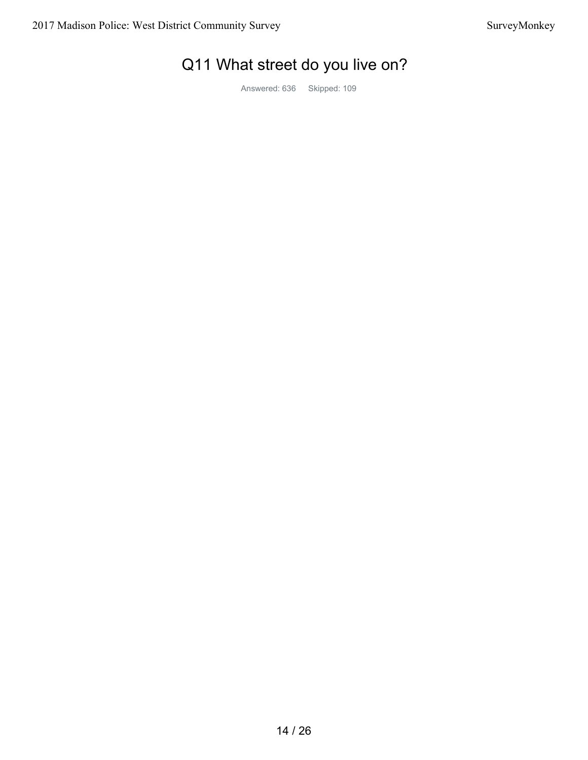# Q11 What street do you live on?

Answered: 636 Skipped: 109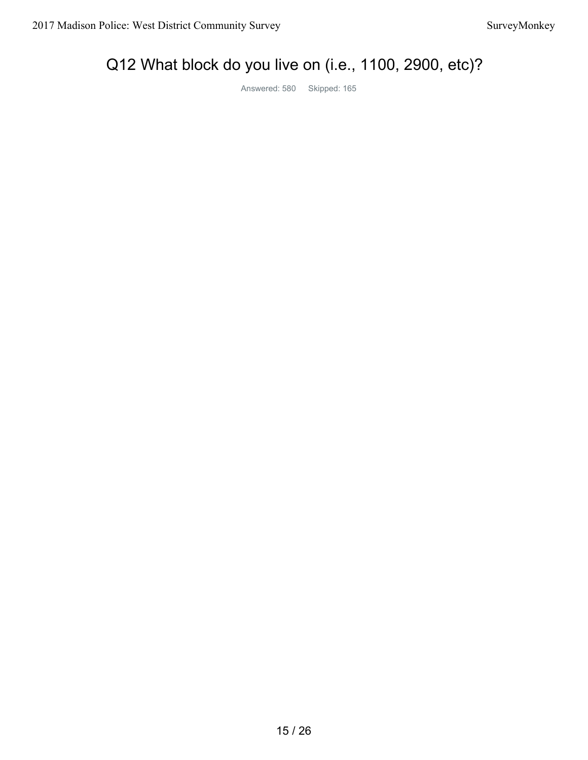# Q12 What block do you live on (i.e., 1100, 2900, etc)?

Answered: 580 Skipped: 165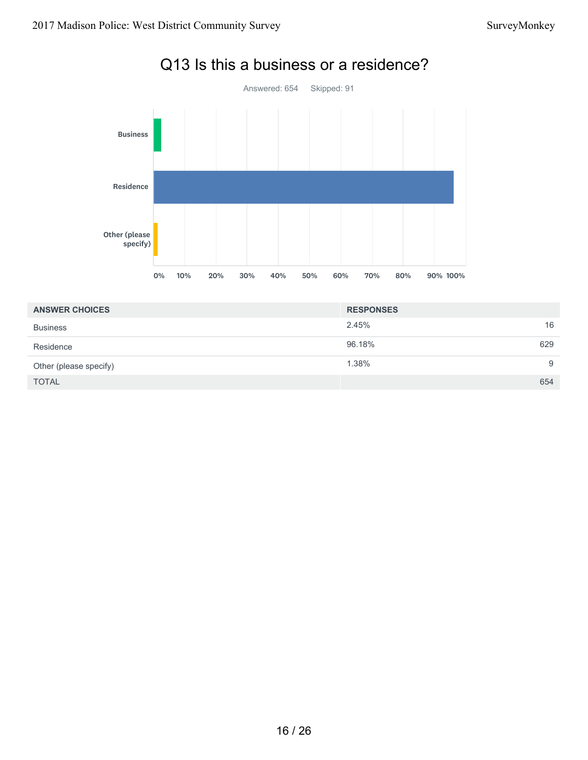

# Q13 Is this a business or a residence?

| <b>ANSWER CHOICES</b>  | <b>RESPONSES</b> |    |
|------------------------|------------------|----|
| <b>Business</b>        | 2.45%            | 16 |
| Residence              | 96.18%<br>629    |    |
| Other (please specify) | 1.38%            | 9  |
| <b>TOTAL</b>           | 654              |    |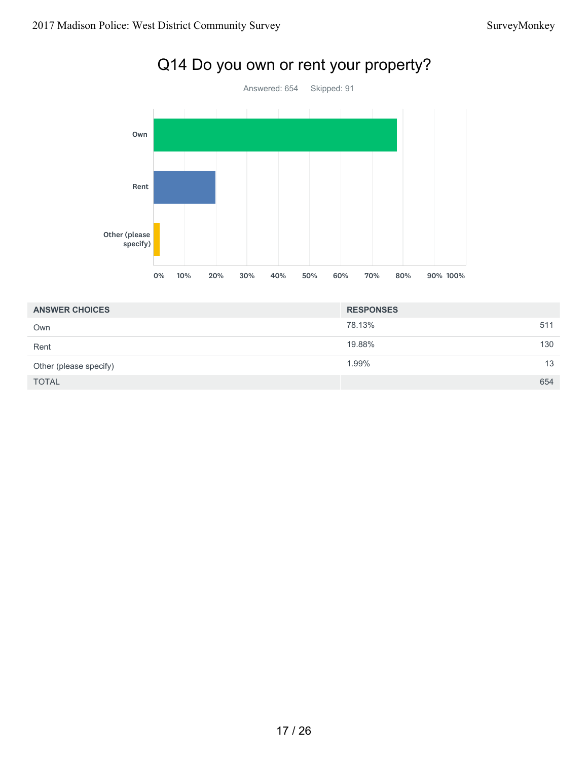

# Q14 Do you own or rent your property?

| <b>ANSWER CHOICES</b>  | <b>RESPONSES</b> |     |
|------------------------|------------------|-----|
| Own                    | 78.13%           | 511 |
| Rent                   | 19.88%           | 130 |
| Other (please specify) | 1.99%            | 13  |
| <b>TOTAL</b>           |                  | 654 |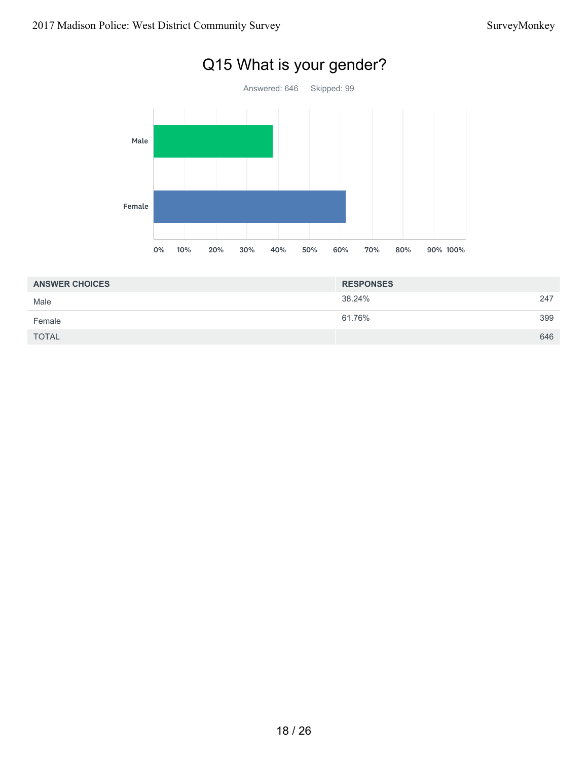

# Q15 What is your gender?

| <b>ANSWER CHOICES</b> | <b>RESPONSES</b> |     |
|-----------------------|------------------|-----|
| Male                  | 38.24%           | 247 |
| Female                | 61.76%           | 399 |
| <b>TOTAL</b>          |                  | 646 |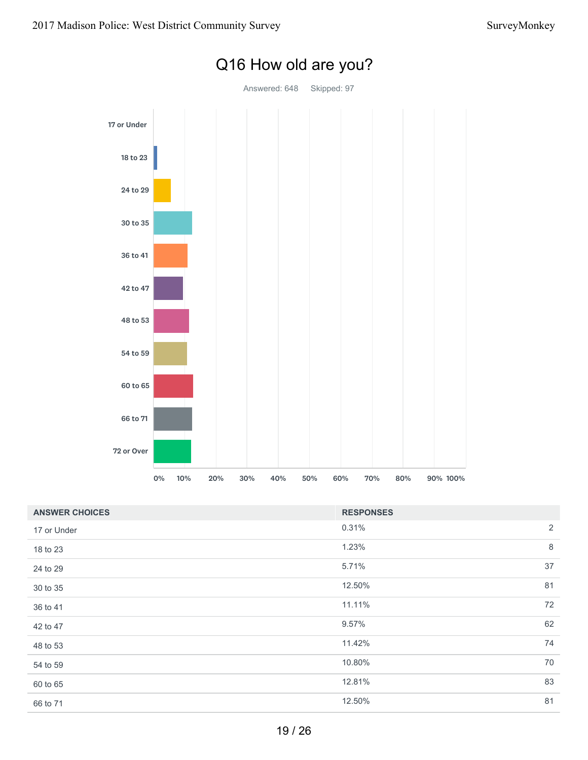

# Q16 How old are you?

| <b>ANSWER CHOICES</b> | <b>RESPONSES</b> |    |
|-----------------------|------------------|----|
| 17 or Under           | 0.31%            | 2  |
| 18 to 23              | 1.23%            | 8  |
| 24 to 29              | 5.71%            | 37 |
| 30 to 35              | 12.50%           | 81 |
| 36 to 41              | 11.11%           | 72 |
| 42 to 47              | 9.57%            | 62 |
| 48 to 53              | 11.42%           | 74 |
| 54 to 59              | 10.80%           | 70 |
| 60 to 65              | 12.81%           | 83 |
| 66 to 71              | 12.50%           | 81 |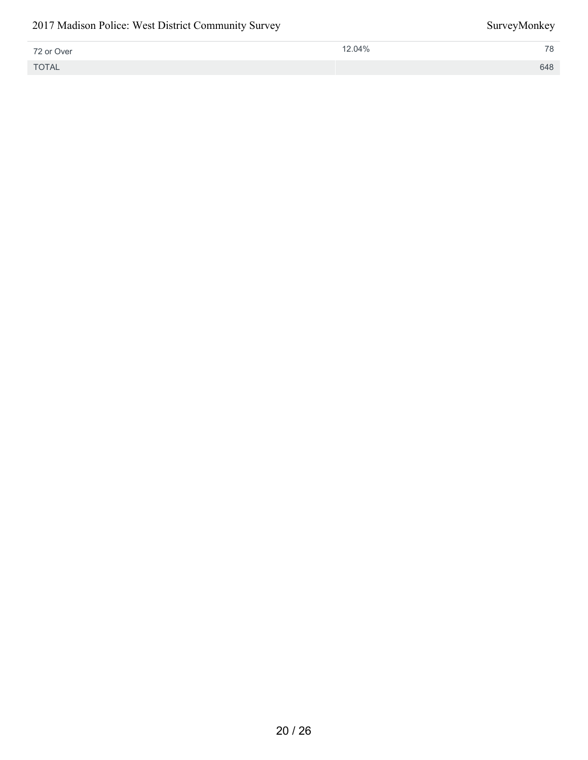#### 2017 Madison Police: West District Community Survey SurveyMonkey

| 72 or Over   | 12.04% | 78  |
|--------------|--------|-----|
| <b>TOTAL</b> |        | 648 |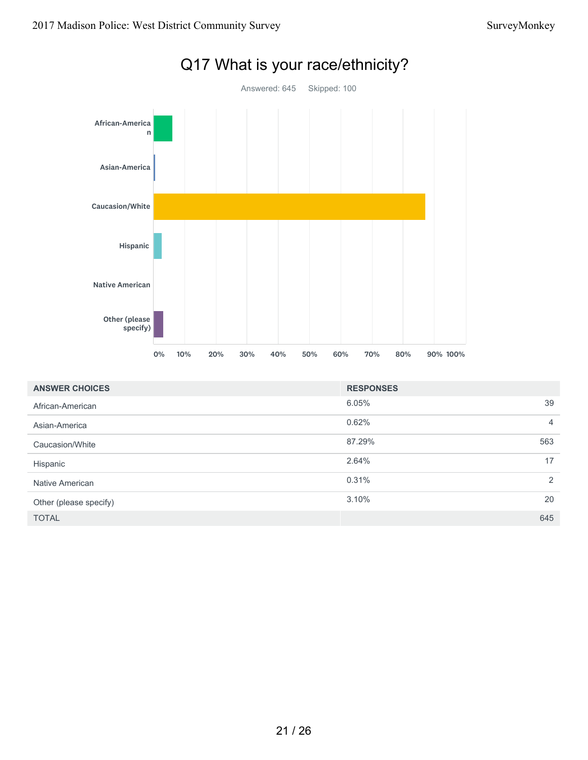

| <b>ANSWER CHOICES</b>  | <b>RESPONSES</b> |                |
|------------------------|------------------|----------------|
| African-American       | 6.05%            | 39             |
| Asian-America          | 0.62%            | $\overline{4}$ |
| Caucasion/White        | 87.29%           | 563            |
| Hispanic               | 2.64%            | 17             |
| Native American        | 0.31%            | 2              |
| Other (please specify) | 3.10%            | 20             |
| <b>TOTAL</b>           |                  | 645            |

# Q17 What is your race/ethnicity?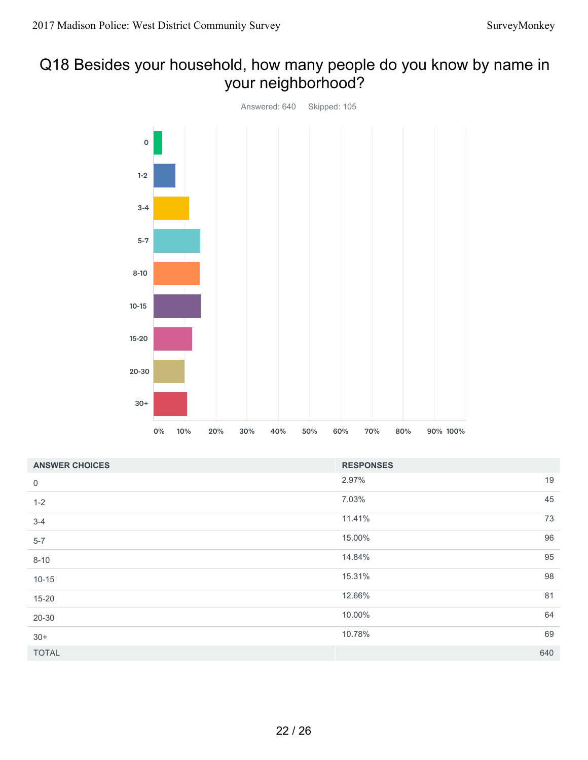# Q18 Besides your household, how many people do you know by name in your neighborhood?



| <b>ANSWER CHOICES</b> | <b>RESPONSES</b> |     |
|-----------------------|------------------|-----|
| $\boldsymbol{0}$      | 2.97%            | 19  |
| $1 - 2$               | 7.03%            | 45  |
| $3 - 4$               | 11.41%           | 73  |
| $5 - 7$               | 15.00%           | 96  |
| $8 - 10$              | 14.84%           | 95  |
| $10 - 15$             | 15.31%           | 98  |
| $15 - 20$             | 12.66%           | 81  |
| 20-30                 | 10.00%           | 64  |
| $30+$                 | 10.78%           | 69  |
| <b>TOTAL</b>          |                  | 640 |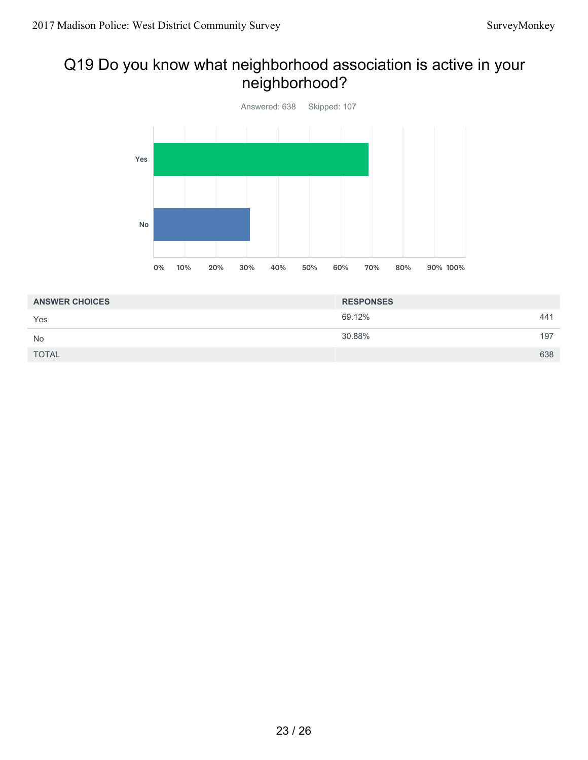# Q19 Do you know what neighborhood association is active in your neighborhood?



| <b>ANSWER CHOICES</b> | <b>RESPONSES</b> |     |
|-----------------------|------------------|-----|
| Yes                   | 69.12%           | 441 |
| <b>No</b>             | 30.88%           | 197 |
| <b>TOTAL</b>          |                  | 638 |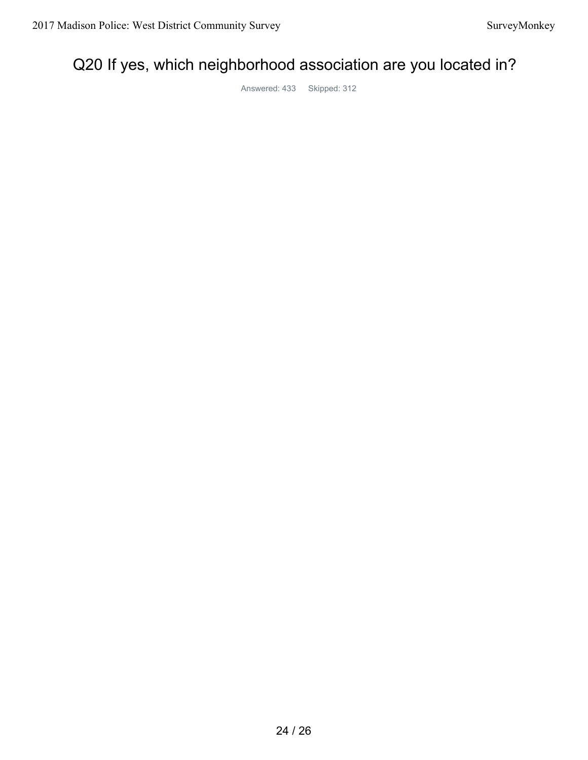# Q20 If yes, which neighborhood association are you located in?

Answered: 433 Skipped: 312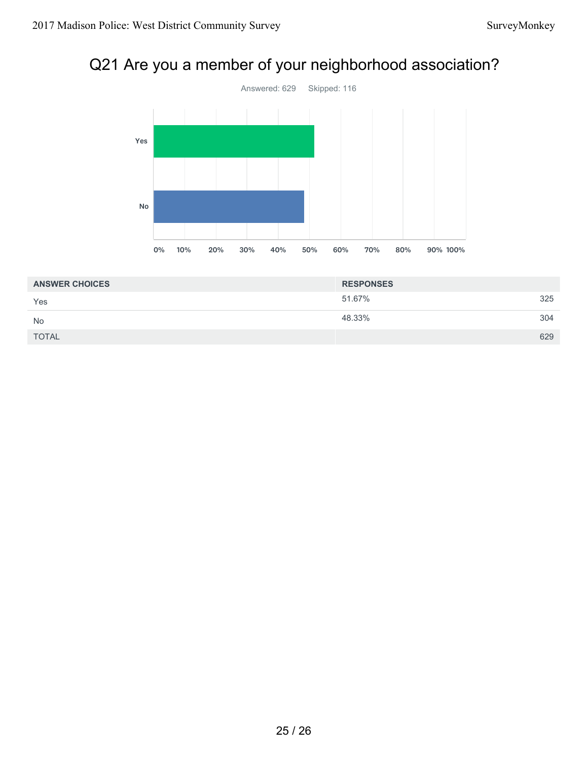# Q21 Are you a member of your neighborhood association?



| <b>ANSWER CHOICES</b> | <b>RESPONSES</b> |     |
|-----------------------|------------------|-----|
| Yes                   | 51.67%           | 325 |
| <b>No</b>             | 48.33%           | 304 |
| <b>TOTAL</b>          |                  | 629 |